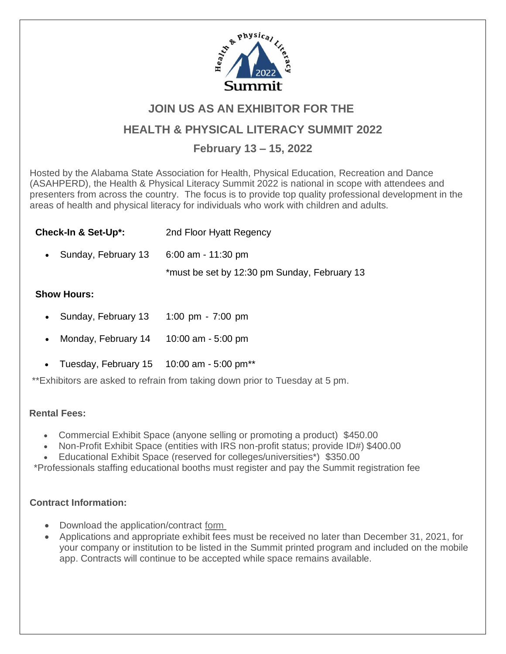

# **JOIN US AS AN EXHIBITOR FOR THE**

## **HEALTH & PHYSICAL LITERACY SUMMIT 2022**

## **February 13 – 15, 2022**

Hosted by the Alabama State Association for Health, Physical Education, Recreation and Dance (ASAHPERD), the Health & Physical Literacy Summit 2022 is national in scope with attendees and presenters from across the country. The focus is to provide top quality professional development in the areas of health and physical literacy for individuals who work with children and adults.

| 2nd Floor Hyatt Regency                      |
|----------------------------------------------|
| 6:00 am - 11:30 pm                           |
| *must be set by 12:30 pm Sunday, February 13 |
|                                              |

### **Show Hours:**

- Sunday, February 13 1:00 pm - 7:00 pm
- Monday, February 14 10:00 am - 5:00 pm
- Tuesday, February  $15 10:00$  am  $5:00$  pm<sup>\*\*</sup>

\*\*Exhibitors are asked to refrain from taking down prior to Tuesday at 5 pm.

#### **Rental Fees:**

- Commercial Exhibit Space (anyone selling or promoting a product) \$450.00
- Non-Profit Exhibit Space (entities with IRS non-profit status; provide ID#) \$400.00
- Educational Exhibit Space (reserved for colleges/universities\*) \$350.00

\*Professionals staffing educational booths must register and pay the Summit registration fee

### **Contract Information:**

- Download the application/contract form
- Applications and appropriate exhibit fees must be received no later than December 31, 2021, for your company or institution to be l[isted in](https://www.asahperd.org/assets/2022%20HPL%202022%20exhibits%20contract.pdf) the Summit printed program and included on the mobile app. Contracts will continue to be accepted while space remains available.